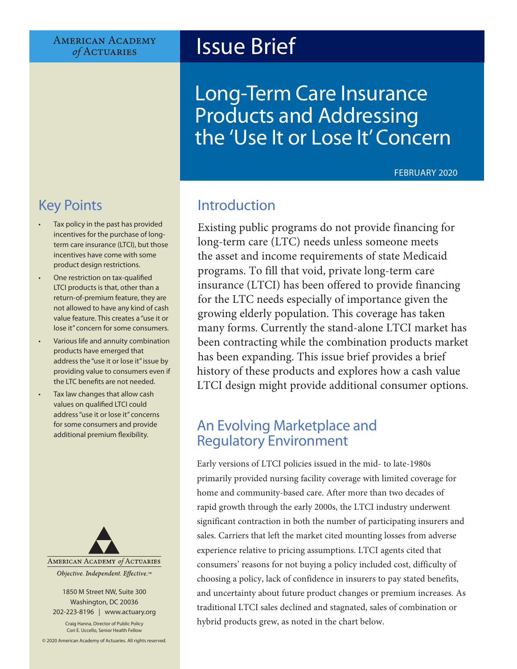#### **AMERICAN ACADEMY** of ACTUARIES

# Issue Brief

Long-Term Care Insurance Products and Addressing the 'Use It or Lose It' Concern

FEBRUARY 2020

## Key Points

- Tax policy in the past has provided incentives for the purchase of longterm care insurance (LTCI), but those incentives have come with some product design restrictions.
- One restriction on tax-qualified LTCI products is that, other than a return-of-premium feature, they are not allowed to have any kind of cash value feature. This creates a "use it or lose it" concern for some consumers.
- Various life and annuity combination products have emerged that address the "use it or lose it" issue by providing value to consumers even if the LTC benefits are not needed.
- Tax law changes that allow cash values on qualified LTCI could address "use it or lose it" concerns for some consumers and provide additional premium flexibility.



1850 M Street NW, Suite 300 Washington, DC 20036 202-223-8196 | [www.actuary.org](http://actuary.org)

Craig Hanna, Director of Public Policy Cori E. Uccello, Senior Health Fellow

© 2020 American Academy of Actuaries. All rights reserved.

### Introduction

Existing public programs do not provide financing for long-term care (LTC) needs unless someone meets the asset and income requirements of state Medicaid programs. To fill that void, private long-term care insurance (LTCI) has been offered to provide financing for the LTC needs especially of importance given the growing elderly population. This coverage has taken many forms. Currently the stand-alone LTCI market has been contracting while the combination products market has been expanding. This issue brief provides a brief history of these products and explores how a cash value LTCI design might provide additional consumer options.

### An Evolving Marketplace and Regulatory Environment

Early versions of LTCI policies issued in the mid- to late-1980s primarily provided nursing facility coverage with limited coverage for home and community-based care. After more than two decades of rapid growth through the early 2000s, the LTCI industry underwent significant contraction in both the number of participating insurers and sales. Carriers that left the market cited mounting losses from adverse experience relative to pricing assumptions. LTCI agents cited that consumers' reasons for not buying a policy included cost, difficulty of choosing a policy, lack of confidence in insurers to pay stated benefits, and uncertainty about future product changes or premium increases. As traditional LTCI sales declined and stagnated, sales of combination or hybrid products grew, as noted in the chart below.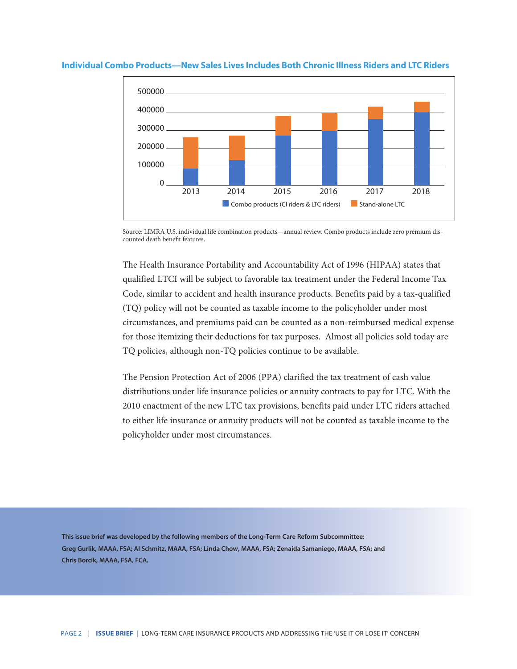

#### **Individual Combo Products—New Sales Lives Includes Both Chronic Illness Riders and LTC Riders**

 Source: LIMRA U.S. individual life combination products—annual review. Combo products include zero premium discounted death benefit features.

The Health Insurance Portability and Accountability Act of 1996 (HIPAA) states that qualified LTCI will be subject to favorable tax treatment under the Federal Income Tax Code, similar to accident and health insurance products. Benefits paid by a tax-qualified (TQ) policy will not be counted as taxable income to the policyholder under most circumstances, and premiums paid can be counted as a non-reimbursed medical expense for those itemizing their deductions for tax purposes. Almost all policies sold today are TQ policies, although non-TQ policies continue to be available.

The Pension Protection Act of 2006 (PPA) clarified the tax treatment of cash value distributions under life insurance policies or annuity contracts to pay for LTC. With the 2010 enactment of the new LTC tax provisions, benefits paid under LTC riders attached to either life insurance or annuity products will not be counted as taxable income to the policyholder under most circumstances.

**This issue brief was developed by the following members of the Long-Term Care Reform Subcommittee: Greg Gurlik, MAAA, FSA; Al Schmitz, MAAA, FSA; Linda Chow, MAAA, FSA; Zenaida Samaniego, MAAA, FSA; and Chris Borcik, MAAA, FSA, FCA.**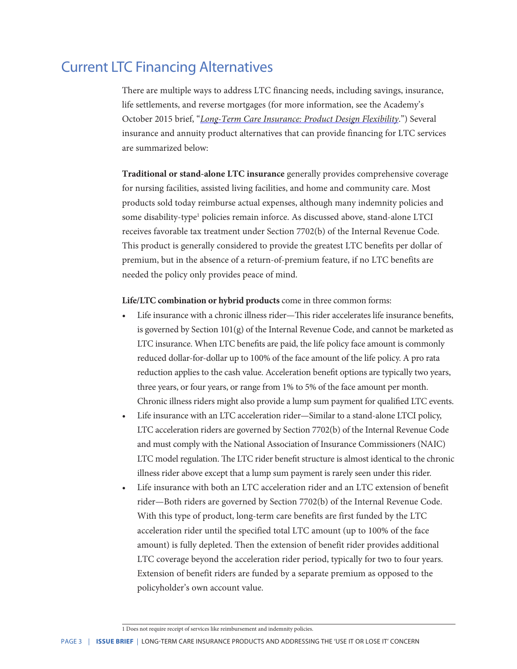### Current LTC Financing Alternatives

There are multiple ways to address LTC financing needs, including savings, insurance, life settlements, and reverse mortgages (for more information, see the Academy's October 2015 brief, "*[Long-Term Care Insurance: Product Design Flexibility](https://www.actuary.org/sites/default/files/files/LTCI.ProductDesignFlex.pdf)*.") Several insurance and annuity product alternatives that can provide financing for LTC services are summarized below:

**Traditional or stand-alone LTC insurance** generally provides comprehensive coverage for nursing facilities, assisted living facilities, and home and community care. Most products sold today reimburse actual expenses, although many indemnity policies and some disability-type<sup>1</sup> policies remain inforce. As discussed above, stand-alone LTCI receives favorable tax treatment under Section 7702(b) of the Internal Revenue Code. This product is generally considered to provide the greatest LTC benefits per dollar of premium, but in the absence of a return-of-premium feature, if no LTC benefits are needed the policy only provides peace of mind.

#### **Life/LTC combination or hybrid products** come in three common forms:

- Life insurance with a chronic illness rider—This rider accelerates life insurance benefits, is governed by Section 101(g) of the Internal Revenue Code, and cannot be marketed as LTC insurance. When LTC benefits are paid, the life policy face amount is commonly reduced dollar-for-dollar up to 100% of the face amount of the life policy. A pro rata reduction applies to the cash value. Acceleration benefit options are typically two years, three years, or four years, or range from 1% to 5% of the face amount per month. Chronic illness riders might also provide a lump sum payment for qualified LTC events.
- Life insurance with an LTC acceleration rider—Similar to a stand-alone LTCI policy, LTC acceleration riders are governed by Section 7702(b) of the Internal Revenue Code and must comply with the National Association of Insurance Commissioners (NAIC) LTC model regulation. The LTC rider benefit structure is almost identical to the chronic illness rider above except that a lump sum payment is rarely seen under this rider.
- Life insurance with both an LTC acceleration rider and an LTC extension of benefit rider—Both riders are governed by Section 7702(b) of the Internal Revenue Code. With this type of product, long-term care benefits are first funded by the LTC acceleration rider until the specified total LTC amount (up to 100% of the face amount) is fully depleted. Then the extension of benefit rider provides additional LTC coverage beyond the acceleration rider period, typically for two to four years. Extension of benefit riders are funded by a separate premium as opposed to the policyholder's own account value.

1 Does not require receipt of services like reimbursement and indemnity policies.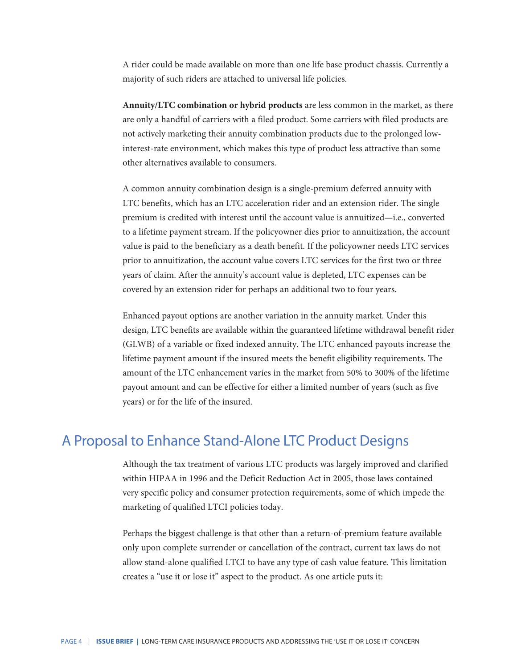A rider could be made available on more than one life base product chassis. Currently a majority of such riders are attached to universal life policies.

**Annuity/LTC combination or hybrid products** are less common in the market, as there are only a handful of carriers with a filed product. Some carriers with filed products are not actively marketing their annuity combination products due to the prolonged lowinterest-rate environment, which makes this type of product less attractive than some other alternatives available to consumers.

A common annuity combination design is a single-premium deferred annuity with LTC benefits, which has an LTC acceleration rider and an extension rider. The single premium is credited with interest until the account value is annuitized—i.e., converted to a lifetime payment stream. If the policyowner dies prior to annuitization, the account value is paid to the beneficiary as a death benefit. If the policyowner needs LTC services prior to annuitization, the account value covers LTC services for the first two or three years of claim. After the annuity's account value is depleted, LTC expenses can be covered by an extension rider for perhaps an additional two to four years.

Enhanced payout options are another variation in the annuity market. Under this design, LTC benefits are available within the guaranteed lifetime withdrawal benefit rider (GLWB) of a variable or fixed indexed annuity. The LTC enhanced payouts increase the lifetime payment amount if the insured meets the benefit eligibility requirements. The amount of the LTC enhancement varies in the market from 50% to 300% of the lifetime payout amount and can be effective for either a limited number of years (such as five years) or for the life of the insured.

### A Proposal to Enhance Stand-Alone LTC Product Designs

Although the tax treatment of various LTC products was largely improved and clarified within HIPAA in 1996 and the Deficit Reduction Act in 2005, those laws contained very specific policy and consumer protection requirements, some of which impede the marketing of qualified LTCI policies today.

Perhaps the biggest challenge is that other than a return-of-premium feature available only upon complete surrender or cancellation of the contract, current tax laws do not allow stand-alone qualified LTCI to have any type of cash value feature. This limitation creates a "use it or lose it" aspect to the product. As one article puts it: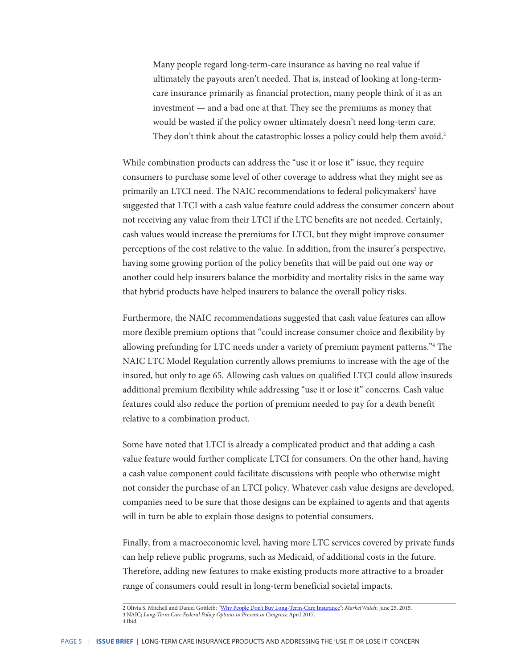Many people regard long-term-care insurance as having no real value if ultimately the payouts aren't needed. That is, instead of looking at long-termcare insurance primarily as financial protection, many people think of it as an investment — and a bad one at that. They see the premiums as money that would be wasted if the policy owner ultimately doesn't need long-term care. They don't think about the catastrophic losses a policy could help them avoid.<sup>2</sup>

While combination products can address the "use it or lose it" issue, they require consumers to purchase some level of other coverage to address what they might see as primarily an LTCI need. The NAIC recommendations to federal policymakers<sup>3</sup> have suggested that LTCI with a cash value feature could address the consumer concern about not receiving any value from their LTCI if the LTC benefits are not needed. Certainly, cash values would increase the premiums for LTCI, but they might improve consumer perceptions of the cost relative to the value. In addition, from the insurer's perspective, having some growing portion of the policy benefits that will be paid out one way or another could help insurers balance the morbidity and mortality risks in the same way that hybrid products have helped insurers to balance the overall policy risks.

Furthermore, the NAIC recommendations suggested that cash value features can allow more flexible premium options that "could increase consumer choice and flexibility by allowing prefunding for LTC needs under a variety of premium payment patterns."4 The NAIC LTC Model Regulation currently allows premiums to increase with the age of the insured, but only to age 65. Allowing cash values on qualified LTCI could allow insureds additional premium flexibility while addressing "use it or lose it" concerns. Cash value features could also reduce the portion of premium needed to pay for a death benefit relative to a combination product.

Some have noted that LTCI is already a complicated product and that adding a cash value feature would further complicate LTCI for consumers. On the other hand, having a cash value component could facilitate discussions with people who otherwise might not consider the purchase of an LTCI policy. Whatever cash value designs are developed, companies need to be sure that those designs can be explained to agents and that agents will in turn be able to explain those designs to potential consumers.

Finally, from a macroeconomic level, having more LTC services covered by private funds can help relieve public programs, such as Medicaid, of additional costs in the future. Therefore, adding new features to make existing products more attractive to a broader range of consumers could result in long-term beneficial societal impacts.

<sup>2</sup> Olivia S. Mitchell and Daniel Gottleib; *"*[Why People Don't Buy Long-Term-Care Insurance](https://www.marketwatch.com/story/why-people-dont-buy-long-term-care-insurance-2015-06-17)"; *MarketWatch*; June 25, 2015. 3 NAIC; *Long-Term Care Federal Policy Options to Present to Congress*; April 2017. 4 Ibid.